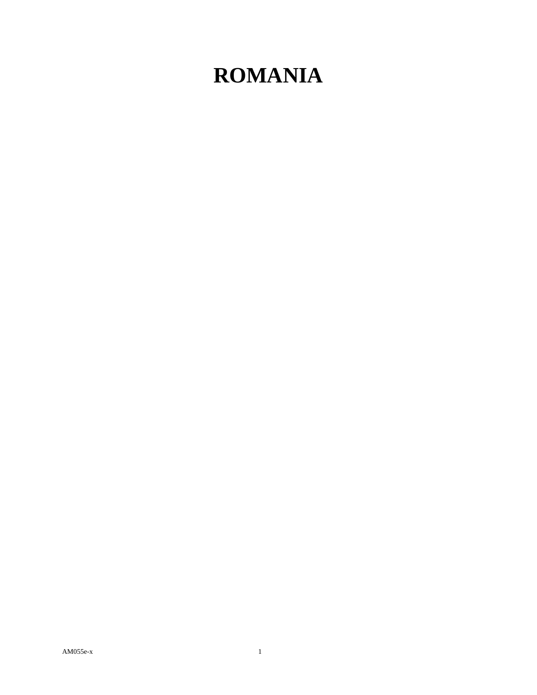## **ROMANIA**